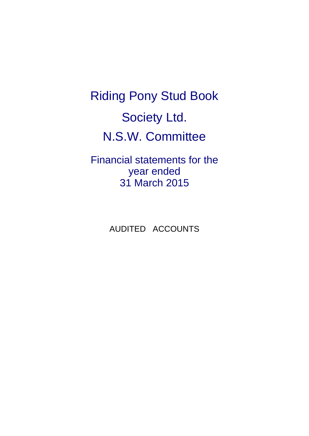Riding Pony Stud Book Society Ltd. N.S.W. Committee

Financial statements for the year ended 31 March 2015

AUDITED ACCOUNTS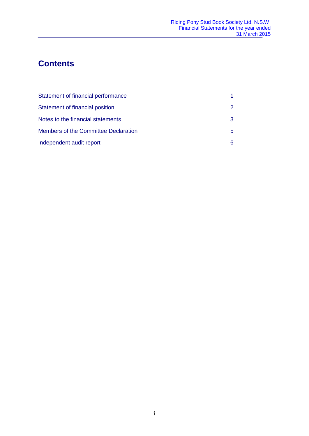# **Contents**

| Statement of financial performance          |               |
|---------------------------------------------|---------------|
| Statement of financial position             | $\mathcal{P}$ |
| Notes to the financial statements           | 3             |
| <b>Members of the Committee Declaration</b> | 5.            |
| Independent audit report                    | 6             |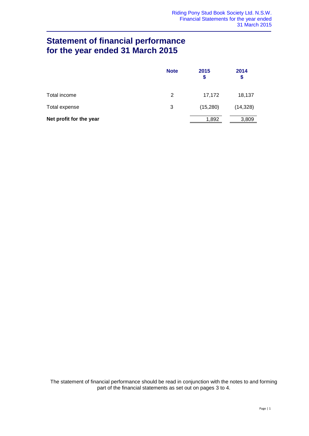# **Statement of financial performance for the year ended 31 March 2015**

|                         | <b>Note</b> | 2015<br>\$ | 2014<br>\$ |
|-------------------------|-------------|------------|------------|
| Total income            | 2           | 17,172     | 18,137     |
| Total expense           | 3           | (15,280)   | (14, 328)  |
| Net profit for the year |             | 1,892      | 3,809      |

The statement of financial performance should be read in conjunction with the notes to and forming part of the financial statements as set out on pages 3 to 4.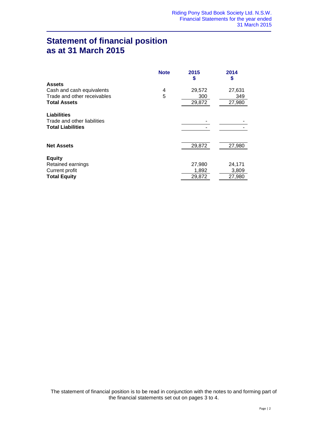## **Statement of financial position as at 31 March 2015**

| <b>Note</b> | 2015<br>\$ | 2014<br>S |
|-------------|------------|-----------|
|             |            |           |
| 4           | 29,572     | 27,631    |
| 5           | 300        | 349       |
|             | 29,872     | 27,980    |
|             |            |           |
|             |            |           |
|             |            |           |
|             | 29,872     | 27,980    |
|             |            |           |
|             | 27,980     | 24,171    |
|             | 1,892      | 3,809     |
|             | 29,872     | 27,980    |
|             |            |           |

The statement of financial position is to be read in conjunction with the notes to and forming part of the financial statements set out on pages 3 to 4.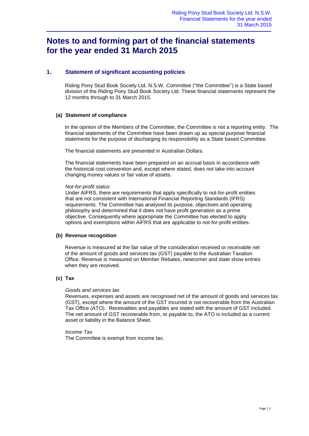### **Notes to and forming part of the financial statements for the year ended 31 March 2015**

### **1. Statement of significant accounting policies**

Riding Pony Stud Book Society Ltd. N.S.W. Committee ("the Committee") is a State based division of the Riding Pony Stud Book Society Ltd. These financial statements represent the 12 months through to 31 March 2015.

#### **(a) Statement of compliance**

In the opinion of the Members of the Committee, the Committee is not a reporting entity. The financial statements of the Committee have been drawn up as special purpose financial statements for the purpose of discharging its responsibility as a State based Committee.

The financial statements are presented in Australian Dollars.

The financial statements have been prepared on an accrual basis in accordance with the historical cost convention and, except where stated, does not take into account changing money values or fair value of assets.

#### *Not-for-profit status*

Under AIFRS, there are requirements that apply specifically to not-for-profit entities that are not consistent with International Financial Reporting Standards (IFRS) requirements. The Committee has analysed its purpose, objectives and operating philosophy and determined that it does not have profit generation as a prime objective. Consequently where appropriate the Committee has elected to apply options and exemptions within AIFRS that are applicable to not-for-profit entities.

#### **(b) Revenue recognition**

Revenue is measured at the fair value of the consideration received or receivable net of the amount of goods and services tax (GST) payable to the Australian Taxation Office. Revenue is measured on Member Rebates, newcomer and state show entries when they are received.

#### **(c) Tax**

#### *Goods and services tax*

Revenues, expenses and assets are recognised net of the amount of goods and services tax (GST), except where the amount of the GST incurred is not recoverable from the Australian Tax Office (ATO). Receivables and payables are stated with the amount of GST included. The net amount of GST recoverable from, or payable to, the ATO is included as a current asset or liability in the Balance Sheet.

#### *Income Tax*

The Committee is exempt from income tax.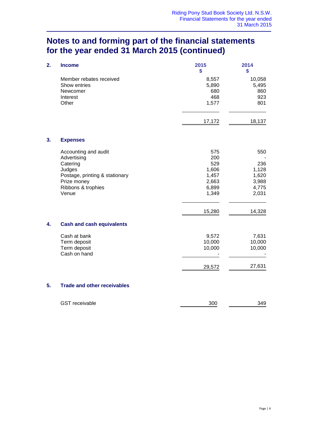## **Notes to and forming part of the financial statements for the year ended 31 March 2015 (continued)**

| 2. | <b>Income</b>                                                                                                                             | 2015<br>\$                                                               | 2014<br>\$                                                        |
|----|-------------------------------------------------------------------------------------------------------------------------------------------|--------------------------------------------------------------------------|-------------------------------------------------------------------|
|    | Member rebates received<br>Show entries<br>Newcomer<br>Interest<br>Other                                                                  | 8,557<br>5,890<br>680<br>468<br>1,577                                    | 10,058<br>5,495<br>860<br>923<br>801                              |
|    |                                                                                                                                           | 17,172                                                                   | 18,137                                                            |
| 3. | <b>Expenses</b>                                                                                                                           |                                                                          |                                                                   |
|    | Accounting and audit<br>Advertising<br>Catering<br>Judges<br>Postage, printing & stationary<br>Prize money<br>Ribbons & trophies<br>Venue | 575<br>200<br>529<br>1,606<br>1,457<br>2,663<br>6,899<br>1,349<br>15,280 | 550<br>236<br>1,128<br>1,620<br>3,988<br>4,775<br>2,031<br>14,328 |
| 4. | <b>Cash and cash equivalents</b>                                                                                                          |                                                                          |                                                                   |
|    | Cash at bank<br>Term deposit<br>Term deposit<br>Cash on hand                                                                              | 9,572<br>10,000<br>10,000                                                | 7,631<br>10,000<br>10,000                                         |
|    |                                                                                                                                           | 29,572                                                                   | 27,631                                                            |
| 5. | <b>Trade and other receivables</b>                                                                                                        |                                                                          |                                                                   |

| <b>GST</b> receivable | 300 | 349 |
|-----------------------|-----|-----|
|                       |     |     |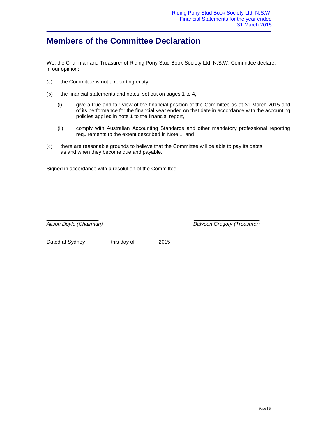### **Members of the Committee Declaration**

We, the Chairman and Treasurer of Riding Pony Stud Book Society Ltd. N.S.W. Committee declare, in our opinion:

- (a) the Committee is not a reporting entity,
- (b) the financial statements and notes, set out on pages 1 to 4,
	- (i) give a true and fair view of the financial position of the Committee as at 31 March 2015 and of its performance for the financial year ended on that date in accordance with the accounting policies applied in note 1 to the financial report,
	- (ii) comply with Australian Accounting Standards and other mandatory professional reporting requirements to the extent described in Note 1; and
- (c) there are reasonable grounds to believe that the Committee will be able to pay its debts as and when they become due and payable.

Signed in accordance with a resolution of the Committee:

 $\overline{\phantom{a}}$  , and the contract of the contract of the contract of the contract of the contract of the contract of the contract of the contract of the contract of the contract of the contract of the contract of the contrac

*Alison Doyle (Chairman) Dalveen Gregory (Treasurer)*

Dated at Sydney this day of 2015.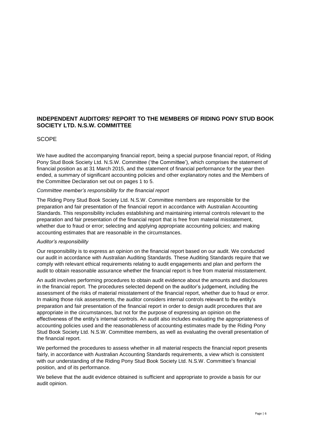### **INDEPENDENT AUDITORS' REPORT TO THE MEMBERS OF RIDING PONY STUD BOOK SOCIETY LTD. N.S.W. COMMITTEE**

#### **SCOPE**

We have audited the accompanying financial report, being a special purpose financial report, of Riding Pony Stud Book Society Ltd. N.S.W. Committee ('the Committee'), which comprises the statement of financial position as at 31 March 2015, and the statement of financial performance for the year then ended, a summary of significant accounting policies and other explanatory notes and the Members of the Committee Declaration set out on pages 1 to 5.

#### *Committee member's responsibility for the financial report*

The Riding Pony Stud Book Society Ltd. N.S.W. Committee members are responsible for the preparation and fair presentation of the financial report in accordance with Australian Accounting Standards. This responsibility includes establishing and maintaining internal controls relevant to the preparation and fair presentation of the financial report that is free from material misstatement, whether due to fraud or error; selecting and applying appropriate accounting policies; and making accounting estimates that are reasonable in the circumstances.

#### *Auditor's responsibility*

Our responsibility is to express an opinion on the financial report based on our audit. We conducted our audit in accordance with Australian Auditing Standards. These Auditing Standards require that we comply with relevant ethical requirements relating to audit engagements and plan and perform the audit to obtain reasonable assurance whether the financial report is free from material misstatement.

An audit involves performing procedures to obtain audit evidence about the amounts and disclosures in the financial report. The procedures selected depend on the auditor's judgement, including the assessment of the risks of material misstatement of the financial report, whether due to fraud or error. In making those risk assessments, the auditor considers internal controls relevant to the entity's preparation and fair presentation of the financial report in order to design audit procedures that are appropriate in the circumstances, but not for the purpose of expressing an opinion on the effectiveness of the entity's internal controls. An audit also includes evaluating the appropriateness of accounting policies used and the reasonableness of accounting estimates made by the Riding Pony Stud Book Society Ltd. N.S.W. Committee members, as well as evaluating the overall presentation of the financial report.

We performed the procedures to assess whether in all material respects the financial report presents fairly, in accordance with Australian Accounting Standards requirements, a view which is consistent with our understanding of the Riding Pony Stud Book Society Ltd. N.S.W. Committee's financial position, and of its performance.

We believe that the audit evidence obtained is sufficient and appropriate to provide a basis for our audit opinion.